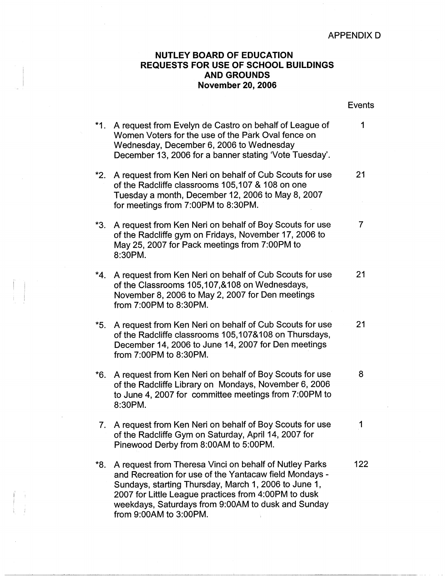## APPENDIX D

## **NUTLEY BOARD OF EDUCATION REQUESTS FOR USE OF SCHOOL BUILDINGS AND GROUNDS November 20, 2006**

|          |                                                                                                                                                                                                                                                                                                                  | <b>Events</b> |
|----------|------------------------------------------------------------------------------------------------------------------------------------------------------------------------------------------------------------------------------------------------------------------------------------------------------------------|---------------|
|          | *1. A request from Evelyn de Castro on behalf of League of<br>Women Voters for the use of the Park Oval fence on<br>Wednesday, December 6, 2006 to Wednesday<br>December 13, 2006 for a banner stating 'Vote Tuesday'.                                                                                           | 1             |
| *2.      | A request from Ken Neri on behalf of Cub Scouts for use<br>of the Radcliffe classrooms 105,107 & 108 on one<br>Tuesday a month, December 12, 2006 to May 8, 2007<br>for meetings from 7:00PM to 8:30PM.                                                                                                          | 21            |
| *3.      | A request from Ken Neri on behalf of Boy Scouts for use<br>of the Radcliffe gym on Fridays, November 17, 2006 to<br>May 25, 2007 for Pack meetings from 7:00PM to<br>8:30PM.                                                                                                                                     | 7             |
|          | *4. A request from Ken Neri on behalf of Cub Scouts for use<br>of the Classrooms 105,107,&108 on Wednesdays,<br>November 8, 2006 to May 2, 2007 for Den meetings<br>from 7:00PM to 8:30PM.                                                                                                                       | 21            |
| *5.      | A request from Ken Neri on behalf of Cub Scouts for use<br>of the Radcliffe classrooms 105,107&108 on Thursdays,<br>December 14, 2006 to June 14, 2007 for Den meetings<br>from 7:00PM to 8:30PM.                                                                                                                | 21            |
| *6.      | A request from Ken Neri on behalf of Boy Scouts for use<br>of the Radcliffe Library on Mondays, November 6, 2006<br>to June 4, 2007 for committee meetings from 7:00PM to<br>8:30PM.                                                                                                                             | 8             |
| <i>L</i> | A request from Ken Neri on behalf of Boy Scouts for use<br>of the Radcliffe Gym on Saturday, April 14, 2007 for<br>Pinewood Derby from 8:00AM to 5:00PM.                                                                                                                                                         |               |
| *8.      | A request from Theresa Vinci on behalf of Nutley Parks<br>and Recreation for use of the Yantacaw field Mondays -<br>Sundays, starting Thursday, March 1, 2006 to June 1,<br>2007 for Little League practices from 4:00PM to dusk<br>weekdays, Saturdays from 9:00AM to dusk and Sunday<br>from 9:00AM to 3:00PM. | 122           |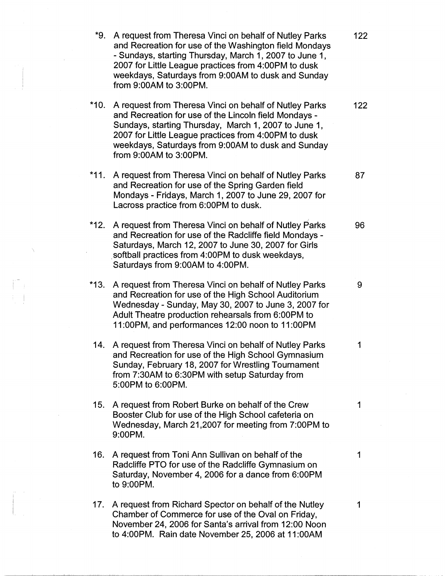| *9.    | A request from Theresa Vinci on behalf of Nutley Parks<br>and Recreation for use of the Washington field Mondays<br>- Sundays, starting Thursday, March 1, 2007 to June 1,<br>2007 for Little League practices from 4:00PM to dusk<br>weekdays, Saturdays from 9:00AM to dusk and Sunday<br>from 9:00AM to 3:00PM. | 122 |
|--------|--------------------------------------------------------------------------------------------------------------------------------------------------------------------------------------------------------------------------------------------------------------------------------------------------------------------|-----|
| *10.   | A request from Theresa Vinci on behalf of Nutley Parks<br>and Recreation for use of the Lincoln field Mondays -<br>Sundays, starting Thursday, March 1, 2007 to June 1,<br>2007 for Little League practices from 4:00PM to dusk<br>weekdays, Saturdays from 9:00AM to dusk and Sunday<br>from 9:00AM to 3:00PM.    | 122 |
| *11.   | A request from Theresa Vinci on behalf of Nutley Parks<br>and Recreation for use of the Spring Garden field<br>Mondays - Fridays, March 1, 2007 to June 29, 2007 for<br>Lacross practice from 6:00PM to dusk.                                                                                                      | 87  |
| *12.   | A request from Theresa Vinci on behalf of Nutley Parks<br>and Recreation for use of the Radcliffe field Mondays -<br>Saturdays, March 12, 2007 to June 30, 2007 for Girls<br>softball practices from 4:00PM to dusk weekdays,<br>Saturdays from 9:00AM to 4:00PM.                                                  | 96  |
| $*13.$ | A request from Theresa Vinci on behalf of Nutley Parks<br>and Recreation for use of the High School Auditorium<br>Wednesday - Sunday, May 30, 2007 to June 3, 2007 for<br>Adult Theatre production rehearsals from 6:00PM to<br>11:00PM, and performances 12:00 noon to 11:00PM                                    | 9   |
|        | 14. A request from Theresa Vinci on behalf of Nutley Parks<br>and Recreation for use of the High School Gymnasium<br>Sunday, February 18, 2007 for Wrestling Tournament<br>from 7:30AM to 6:30PM with setup Saturday from<br>5:00PM to 6:00PM.                                                                     | 1   |
| 15.    | A request from Robert Burke on behalf of the Crew<br>Booster Club for use of the High School cafeteria on<br>Wednesday, March 21,2007 for meeting from 7:00PM to<br>9:00PM.                                                                                                                                        | 1   |
| 16.    | A request from Toni Ann Sullivan on behalf of the<br>Radcliffe PTO for use of the Radcliffe Gymnasium on<br>Saturday, November 4, 2006 for a dance from 6:00PM<br>to 9:00PM.                                                                                                                                       | 1   |
|        | 17. A request from Richard Spector on behalf of the Nutley<br>Chamber of Commerce for use of the Oval on Friday,<br>November 24, 2006 for Santa's arrival from 12:00 Noon<br>to 4:00PM. Rain date November 25, 2006 at 11:00AM                                                                                     | 1   |

I

 $\begin{array}{l} \displaystyle \prod_{i=1}^{n-1} \left( \frac{1}{n} \right)^{n} \left( \frac{1}{n} \right)^{n} \left( \frac{1}{n} \right)^{n} \left( \frac{1}{n} \right)^{n} \left( \frac{1}{n} \right)^{n} \left( \frac{1}{n} \right)^{n} \left( \frac{1}{n} \right)^{n} \left( \frac{1}{n} \right)^{n} \left( \frac{1}{n} \right)^{n} \left( \frac{1}{n} \right)^{n} \left( \frac{1}{n} \right)^{n} \left( \frac{1}{n} \right)^{n} \left( \frac{$